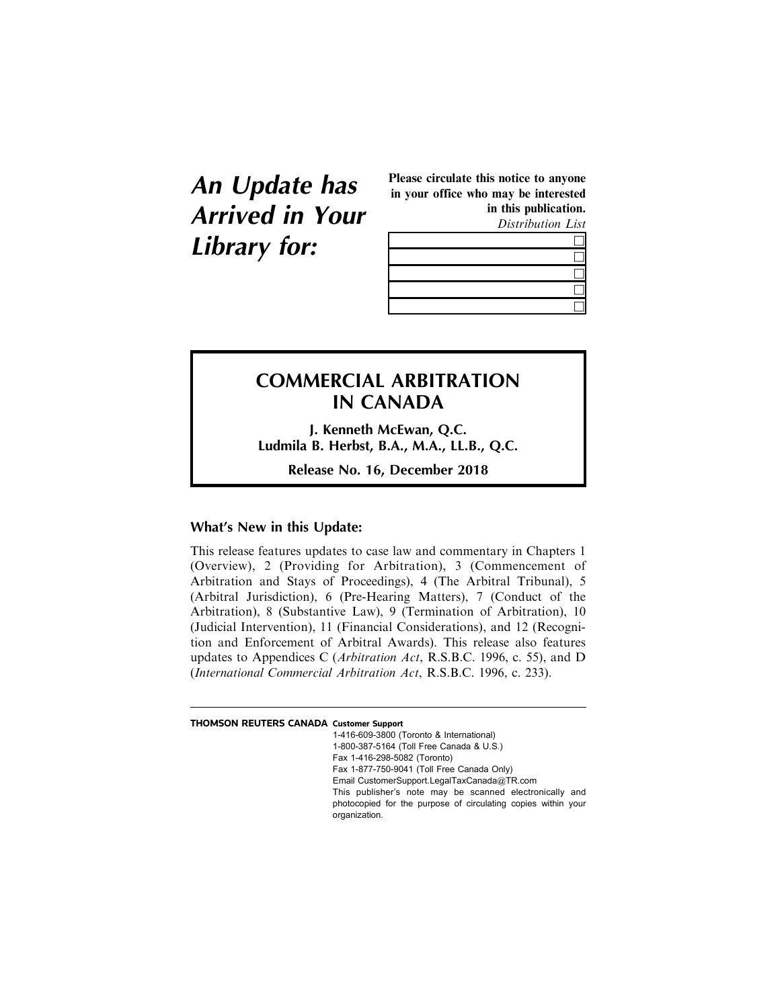**An Update has Arrived in Your Library for:**

Please circulate this notice to anyone in your office who may be interested in this publication.

Distribution List



## **COMMERCIAL ARBITRATION IN CANADA**

**J. Kenneth McEwan, Q.C. Ludmila B. Herbst, B.A., M.A., LL.B., Q.C.**

**Release No. 16, December 2018**

## **What's New in this Update:**

This release features updates to case law and commentary in Chapters 1 (Overview), 2 (Providing for Arbitration), 3 (Commencement of Arbitration and Stays of Proceedings), 4 (The Arbitral Tribunal), 5 (Arbitral Jurisdiction), 6 (Pre-Hearing Matters), 7 (Conduct of the Arbitration), 8 (Substantive Law), 9 (Termination of Arbitration), 10 (Judicial Intervention), 11 (Financial Considerations), and 12 (Recognition and Enforcement of Arbitral Awards). This release also features updates to Appendices C (Arbitration Act, R.S.B.C. 1996, c. 55), and D (International Commercial Arbitration Act, R.S.B.C. 1996, c. 233).

## **THOMSON REUTERS CANADA Customer Support**

1-416-609-3800 (Toronto & International) 1-800-387-5164 (Toll Free Canada & U.S.) Fax 1-416-298-5082 (Toronto) Fax 1-877-750-9041 (Toll Free Canada Only) Email CustomerSupport.LegalTaxCanada@TR.com This publisher's note may be scanned electronically and photocopied for the purpose of circulating copies within your organization.